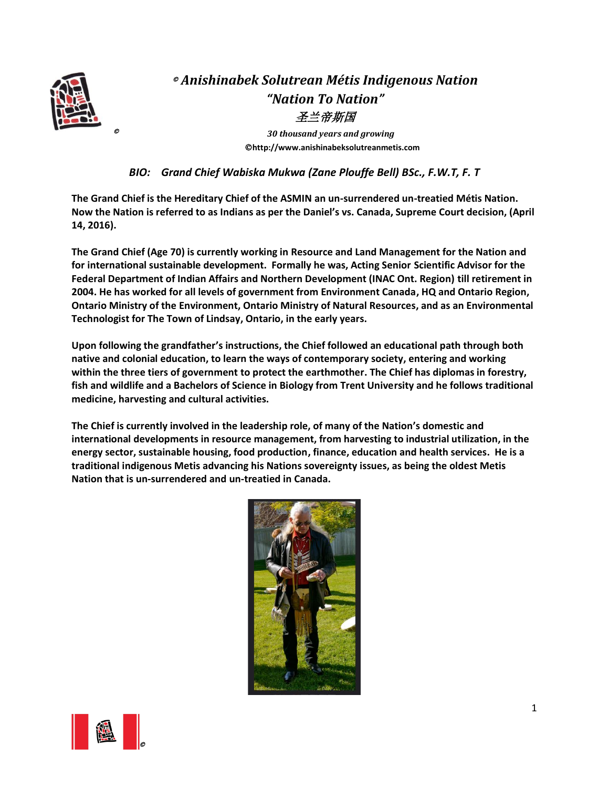

# © *Anishinabek Solutrean Métis Indigenous Nation "Nation To Nation"* 圣兰帝斯国

© *30 thousand years and growing* ©**http://www.anishinabeksolutreanmetis.com**

*BIO: Grand Chief Wabiska Mukwa (Zane Plouffe Bell) BSc., F.W.T, F. T*

**The Grand Chief is the Hereditary Chief of the ASMIN an un-surrendered un-treatied Métis Nation. Now the Nation is referred to as Indians as per the Daniel's vs. Canada, Supreme Court decision, (April 14, 2016).**

**The Grand Chief (Age 70) is currently working in Resource and Land Management for the Nation and for international sustainable development. Formally he was, Acting Senior Scientific Advisor for the Federal Department of Indian Affairs and Northern Development (INAC Ont. Region) till retirement in 2004. He has worked for all levels of government from Environment Canada, HQ and Ontario Region, Ontario Ministry of the Environment, Ontario Ministry of Natural Resources, and as an Environmental Technologist for The Town of Lindsay, Ontario, in the early years.** 

**Upon following the grandfather's instructions, the Chief followed an educational path through both native and colonial education, to learn the ways of contemporary society, entering and working within the three tiers of government to protect the earthmother. The Chief has diplomas in forestry, fish and wildlife and a Bachelors of Science in Biology from Trent University and he follows traditional medicine, harvesting and cultural activities.**

**The Chief is currently involved in the leadership role, of many of the Nation's domestic and international developments in resource management, from harvesting to industrial utilization, in the energy sector, sustainable housing, food production, finance, education and health services. He is a traditional indigenous Metis advancing his Nations sovereignty issues, as being the oldest Metis Nation that is un-surrendered and un-treatied in Canada.** 



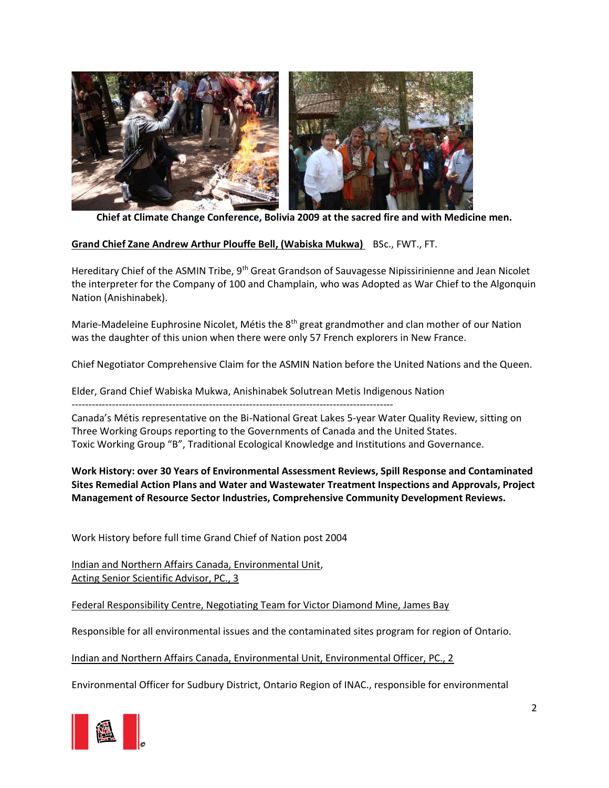

**Chief at Climate Change Conference, Bolivia 2009 at the sacred fire and with Medicine men.**

## **Grand Chief Zane Andrew Arthur Plouffe Bell, (Wabiska Mukwa)** BSc., FWT., FT.

Hereditary Chief of the ASMIN Tribe, 9<sup>th</sup> Great Grandson of Sauvagesse Nipissirinienne and Jean Nicolet the interpreter for the Company of 100 and Champlain, who was Adopted as War Chief to the Algonquin Nation (Anishinabek).

Marie-Madeleine Euphrosine Nicolet, Métis the 8<sup>th</sup> great grandmother and clan mother of our Nation was the daughter of this union when there were only 57 French explorers in New France.

Chief Negotiator Comprehensive Claim for the ASMIN Nation before the United Nations and the Queen.

Elder, Grand Chief Wabiska Mukwa, Anishinabek Solutrean Metis Indigenous Nation

------------------------------------------------------------------------------------------------

Canada's Métis representative on the Bi-National Great Lakes 5-year Water Quality Review, sitting on Three Working Groups reporting to the Governments of Canada and the United States. Toxic Working Group "B", Traditional Ecological Knowledge and Institutions and Governance.

**Work History: over 30 Years of Environmental Assessment Reviews, Spill Response and Contaminated Sites Remedial Action Plans and Water and Wastewater Treatment Inspections and Approvals, Project Management of Resource Sector Industries, Comprehensive Community Development Reviews.**

Work History before full time Grand Chief of Nation post 2004

Indian and Northern Affairs Canada, Environmental Unit, Acting Senior Scientific Advisor, PC., 3

Federal Responsibility Centre, Negotiating Team for Victor Diamond Mine, James Bay

Responsible for all environmental issues and the contaminated sites program for region of Ontario.

Indian and Northern Affairs Canada, Environmental Unit, Environmental Officer, PC., 2

Environmental Officer for Sudbury District, Ontario Region of INAC., responsible for environmental

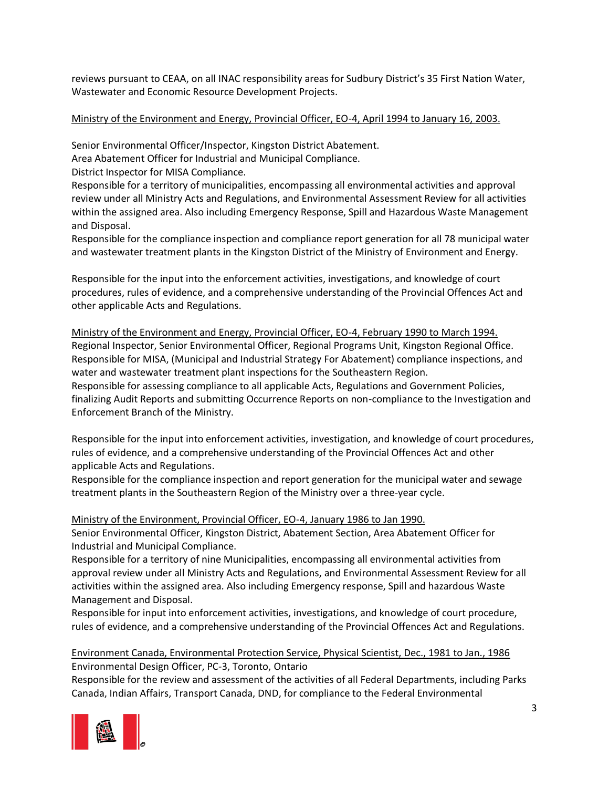reviews pursuant to CEAA, on all INAC responsibility areas for Sudbury District's 35 First Nation Water, Wastewater and Economic Resource Development Projects.

## Ministry of the Environment and Energy, Provincial Officer, EO-4, April 1994 to January 16, 2003.

Senior Environmental Officer/Inspector, Kingston District Abatement.

Area Abatement Officer for Industrial and Municipal Compliance.

District Inspector for MISA Compliance.

Responsible for a territory of municipalities, encompassing all environmental activities and approval review under all Ministry Acts and Regulations, and Environmental Assessment Review for all activities within the assigned area. Also including Emergency Response, Spill and Hazardous Waste Management and Disposal.

Responsible for the compliance inspection and compliance report generation for all 78 municipal water and wastewater treatment plants in the Kingston District of the Ministry of Environment and Energy.

Responsible for the input into the enforcement activities, investigations, and knowledge of court procedures, rules of evidence, and a comprehensive understanding of the Provincial Offences Act and other applicable Acts and Regulations.

Ministry of the Environment and Energy, Provincial Officer, EO-4, February 1990 to March 1994. Regional Inspector, Senior Environmental Officer, Regional Programs Unit, Kingston Regional Office. Responsible for MISA, (Municipal and Industrial Strategy For Abatement) compliance inspections, and water and wastewater treatment plant inspections for the Southeastern Region. Responsible for assessing compliance to all applicable Acts, Regulations and Government Policies, finalizing Audit Reports and submitting Occurrence Reports on non-compliance to the Investigation and Enforcement Branch of the Ministry.

Responsible for the input into enforcement activities, investigation, and knowledge of court procedures, rules of evidence, and a comprehensive understanding of the Provincial Offences Act and other applicable Acts and Regulations.

Responsible for the compliance inspection and report generation for the municipal water and sewage treatment plants in the Southeastern Region of the Ministry over a three-year cycle.

Ministry of the Environment, Provincial Officer, EO-4, January 1986 to Jan 1990.

Senior Environmental Officer, Kingston District, Abatement Section, Area Abatement Officer for Industrial and Municipal Compliance.

Responsible for a territory of nine Municipalities, encompassing all environmental activities from approval review under all Ministry Acts and Regulations, and Environmental Assessment Review for all activities within the assigned area. Also including Emergency response, Spill and hazardous Waste Management and Disposal.

Responsible for input into enforcement activities, investigations, and knowledge of court procedure, rules of evidence, and a comprehensive understanding of the Provincial Offences Act and Regulations.

# Environment Canada, Environmental Protection Service, Physical Scientist, Dec., 1981 to Jan., 1986 Environmental Design Officer, PC-3, Toronto, Ontario

Responsible for the review and assessment of the activities of all Federal Departments, including Parks Canada, Indian Affairs, Transport Canada, DND, for compliance to the Federal Environmental

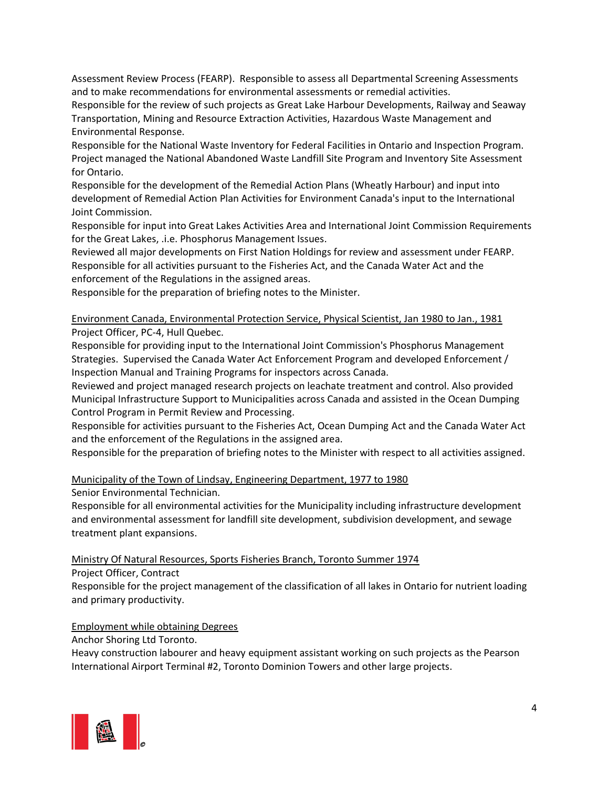Assessment Review Process (FEARP). Responsible to assess all Departmental Screening Assessments and to make recommendations for environmental assessments or remedial activities.

Responsible for the review of such projects as Great Lake Harbour Developments, Railway and Seaway Transportation, Mining and Resource Extraction Activities, Hazardous Waste Management and Environmental Response.

Responsible for the National Waste Inventory for Federal Facilities in Ontario and Inspection Program. Project managed the National Abandoned Waste Landfill Site Program and Inventory Site Assessment for Ontario.

Responsible for the development of the Remedial Action Plans (Wheatly Harbour) and input into development of Remedial Action Plan Activities for Environment Canada's input to the International Joint Commission.

Responsible for input into Great Lakes Activities Area and International Joint Commission Requirements for the Great Lakes, .i.e. Phosphorus Management Issues.

Reviewed all major developments on First Nation Holdings for review and assessment under FEARP. Responsible for all activities pursuant to the Fisheries Act, and the Canada Water Act and the enforcement of the Regulations in the assigned areas.

Responsible for the preparation of briefing notes to the Minister.

Environment Canada, Environmental Protection Service, Physical Scientist, Jan 1980 to Jan., 1981 Project Officer, PC-4, Hull Quebec.

Responsible for providing input to the International Joint Commission's Phosphorus Management Strategies. Supervised the Canada Water Act Enforcement Program and developed Enforcement / Inspection Manual and Training Programs for inspectors across Canada.

Reviewed and project managed research projects on leachate treatment and control. Also provided Municipal Infrastructure Support to Municipalities across Canada and assisted in the Ocean Dumping Control Program in Permit Review and Processing.

Responsible for activities pursuant to the Fisheries Act, Ocean Dumping Act and the Canada Water Act and the enforcement of the Regulations in the assigned area.

Responsible for the preparation of briefing notes to the Minister with respect to all activities assigned.

## Municipality of the Town of Lindsay, Engineering Department, 1977 to 1980

Senior Environmental Technician.

Responsible for all environmental activities for the Municipality including infrastructure development and environmental assessment for landfill site development, subdivision development, and sewage treatment plant expansions.

Ministry Of Natural Resources, Sports Fisheries Branch, Toronto Summer 1974

Project Officer, Contract

Responsible for the project management of the classification of all lakes in Ontario for nutrient loading and primary productivity.

Employment while obtaining Degrees

Anchor Shoring Ltd Toronto.

Heavy construction labourer and heavy equipment assistant working on such projects as the Pearson International Airport Terminal #2, Toronto Dominion Towers and other large projects.